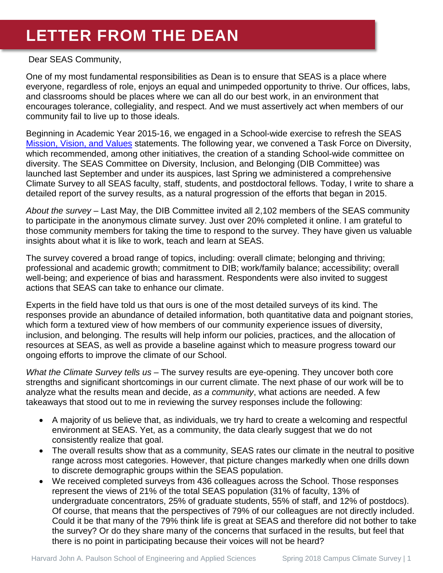# **LETTER FROM THE DEAN**

#### Dear SEAS Community,

One of my most fundamental responsibilities as Dean is to ensure that SEAS is a place where everyone, regardless of role, enjoys an equal and unimpeded opportunity to thrive. Our offices, labs, and classrooms should be places where we can all do our best work, in an environment that encourages tolerance, collegiality, and respect. And we must assertively act when members of our community fail to live up to those ideals.

Beginning in Academic Year 2015-16, we engaged in a School-wide exercise to refresh the SEAS [Mission, Vision, and Values](https://www.seas.harvard.edu/about-seas/mission) statements. The following year, we convened a Task Force on Diversity, which recommended, among other initiatives, the creation of a standing School-wide committee on diversity. The SEAS Committee on Diversity, Inclusion, and Belonging (DIB Committee) was launched last September and under its auspices, last Spring we administered a comprehensive Climate Survey to all SEAS faculty, staff, students, and postdoctoral fellows. Today, I write to share a detailed report of the survey results, as a natural progression of the efforts that began in 2015.

*About the survey* – Last May, the DIB Committee invited all 2,102 members of the SEAS community to participate in the anonymous climate survey. Just over 20% completed it online. I am grateful to those community members for taking the time to respond to the survey. They have given us valuable insights about what it is like to work, teach and learn at SEAS.

The survey covered a broad range of topics, including: overall climate; belonging and thriving; professional and academic growth; commitment to DIB; work/family balance; accessibility; overall well-being; and experience of bias and harassment. Respondents were also invited to suggest actions that SEAS can take to enhance our climate.

Experts in the field have told us that ours is one of the most detailed surveys of its kind. The responses provide an abundance of detailed information, both quantitative data and poignant stories, which form a textured view of how members of our community experience issues of diversity, inclusion, and belonging. The results will help inform our policies, practices, and the allocation of resources at SEAS, as well as provide a baseline against which to measure progress toward our ongoing efforts to improve the climate of our School.

*What the Climate Survey tells us* – The survey results are eye-opening. They uncover both core strengths and significant shortcomings in our current climate. The next phase of our work will be to analyze what the results mean and decide, *as a community*, what actions are needed. A few takeaways that stood out to me in reviewing the survey responses include the following:

- A majority of us believe that, as individuals, we try hard to create a welcoming and respectful environment at SEAS. Yet, as a community, the data clearly suggest that we do not consistently realize that goal.
- The overall results show that as a community, SEAS rates our climate in the neutral to positive range across most categories. However, that picture changes markedly when one drills down to discrete demographic groups within the SEAS population.
- We received completed surveys from 436 colleagues across the School. Those responses represent the views of 21% of the total SEAS population (31% of faculty, 13% of undergraduate concentrators, 25% of graduate students, 55% of staff, and 12% of postdocs). Of course, that means that the perspectives of 79% of our colleagues are not directly included. Could it be that many of the 79% think life is great at SEAS and therefore did not bother to take the survey? Or do they share many of the concerns that surfaced in the results, but feel that there is no point in participating because their voices will not be heard?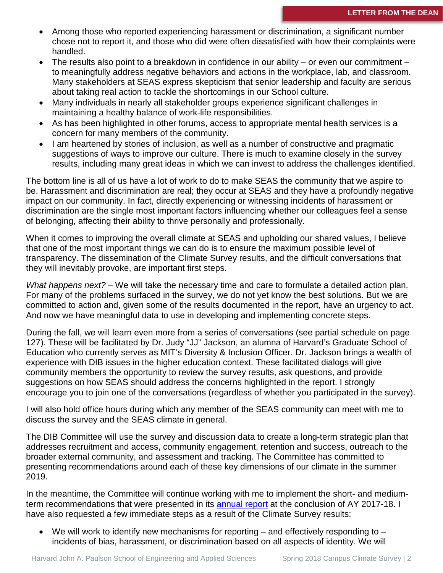- Among those who reported experiencing harassment or discrimination, a significant number chose not to report it, and those who did were often dissatisfied with how their complaints were handled.
- The results also point to a breakdown in confidence in our ability or even our commitment  $$ to meaningfully address negative behaviors and actions in the workplace, lab, and classroom. Many stakeholders at SEAS express skepticism that senior leadership and faculty are serious about taking real action to tackle the shortcomings in our School culture.
- Many individuals in nearly all stakeholder groups experience significant challenges in maintaining a healthy balance of work-life responsibilities.
- As has been highlighted in other forums, access to appropriate mental health services is a concern for many members of the community.
- I am heartened by stories of inclusion, as well as a number of constructive and pragmatic suggestions of ways to improve our culture. There is much to examine closely in the survey results, including many great ideas in which we can invest to address the challenges identified.

The bottom line is all of us have a lot of work to do to make SEAS the community that we aspire to be. Harassment and discrimination are real; they occur at SEAS and they have a profoundly negative impact on our community. In fact, directly experiencing or witnessing incidents of harassment or discrimination are the single most important factors influencing whether our colleagues feel a sense of belonging, affecting their ability to thrive personally and professionally.

When it comes to improving the overall climate at SEAS and upholding our shared values, I believe that one of the most important things we can do is to ensure the maximum possible level of transparency. The dissemination of the Climate Survey results, and the difficult conversations that they will inevitably provoke, are important first steps.

*What happens next?* – We will take the necessary time and care to formulate a detailed action plan. For many of the problems surfaced in the survey, we do not yet know the best solutions. But we are committed to action and, given some of the results documented in the report, have an urgency to act. And now we have meaningful data to use in developing and implementing concrete steps.

During the fall, we will learn even more from a series of conversations (see partial schedule on page 127). These will be facilitated by Dr. Judy "JJ" Jackson, an alumna of Harvard's Graduate School of Education who currently serves as MIT's Diversity & Inclusion Officer. Dr. Jackson brings a wealth of experience with DIB issues in the higher education context. These facilitated dialogs will give community members the opportunity to review the survey results, ask questions, and provide suggestions on how SEAS should address the concerns highlighted in the report. I strongly encourage you to join one of the conversations (regardless of whether you participated in the survey).

I will also hold office hours during which any member of the SEAS community can meet with me to discuss the survey and the SEAS climate in general.

The DIB Committee will use the survey and discussion data to create a long-term strategic plan that addresses recruitment and access, community engagement, retention and success, outreach to the broader external community, and assessment and tracking. The Committee has committed to presenting recommendations around each of these key dimensions of our climate in the summer 2019.

In the meantime, the Committee will continue working with me to implement the short- and mediumterm recommendations that were presented in its [annual report](https://www.seas.harvard.edu/reports) at the conclusion of AY 2017-18. I have also requested a few immediate steps as a result of the Climate Survey results:

We will work to identify new mechanisms for reporting – and effectively responding to – incidents of bias, harassment, or discrimination based on all aspects of identity. We will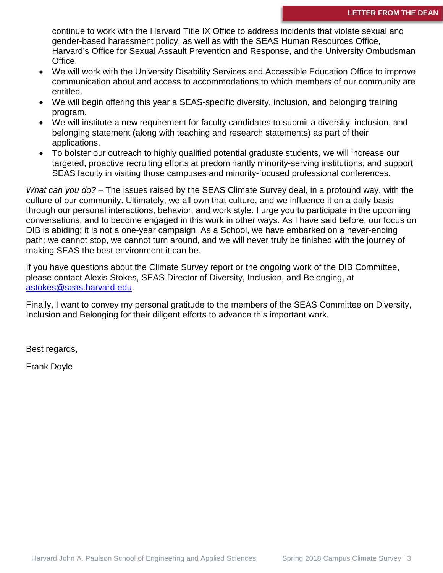continue to work with the Harvard Title IX Office to address incidents that violate sexual and gender-based harassment policy, as well as with the SEAS Human Resources Office, Harvard's Office for Sexual Assault Prevention and Response, and the University Ombudsman Office.

- We will work with the University Disability Services and Accessible Education Office to improve communication about and access to accommodations to which members of our community are entitled.
- We will begin offering this year a SEAS-specific diversity, inclusion, and belonging training program.
- We will institute a new requirement for faculty candidates to submit a diversity, inclusion, and belonging statement (along with teaching and research statements) as part of their applications.
- To bolster our outreach to highly qualified potential graduate students, we will increase our targeted, proactive recruiting efforts at predominantly minority-serving institutions, and support SEAS faculty in visiting those campuses and minority-focused professional conferences.

*What can you do?* – The issues raised by the SEAS Climate Survey deal, in a profound way, with the culture of our community. Ultimately, we all own that culture, and we influence it on a daily basis through our personal interactions, behavior, and work style. I urge you to participate in the upcoming conversations, and to become engaged in this work in other ways. As I have said before, our focus on DIB is abiding; it is not a one-year campaign. As a School, we have embarked on a never-ending path; we cannot stop, we cannot turn around, and we will never truly be finished with the journey of making SEAS the best environment it can be.

If you have questions about the Climate Survey report or the ongoing work of the DIB Committee, please contact Alexis Stokes, SEAS Director of Diversity, Inclusion, and Belonging, at [astokes@seas.harvard.edu.](mailto:astokes@seas.harvard.edu)

Finally, I want to convey my personal gratitude to the members of the SEAS Committee on Diversity, Inclusion and Belonging for their diligent efforts to advance this important work.

Best regards,

Frank Doyle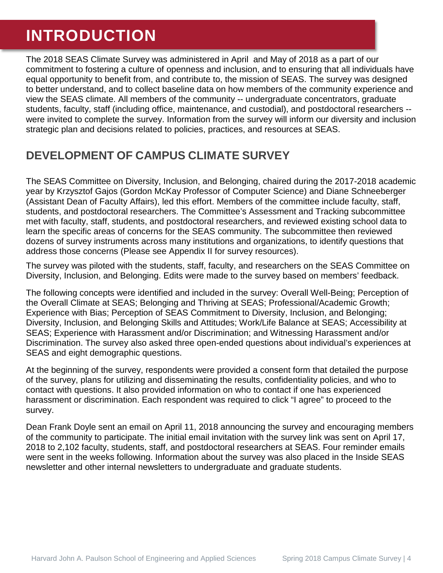# **INTRODUCTION**

The 2018 SEAS Climate Survey was administered in April and May of 2018 as a part of our commitment to fostering a culture of openness and inclusion, and to ensuring that all individuals have equal opportunity to benefit from, and contribute to, the mission of SEAS. The survey was designed to better understand, and to collect baseline data on how members of the community experience and view the SEAS climate. All members of the community -- undergraduate concentrators, graduate students, faculty, staff (including office, maintenance, and custodial), and postdoctoral researchers - were invited to complete the survey. Information from the survey will inform our diversity and inclusion strategic plan and decisions related to policies, practices, and resources at SEAS.

## **DEVELOPMENT OF CAMPUS CLIMATE SURVEY**

The SEAS Committee on Diversity, Inclusion, and Belonging, chaired during the 2017-2018 academic year by Krzysztof Gajos (Gordon McKay Professor of Computer Science) and Diane Schneeberger (Assistant Dean of Faculty Affairs), led this effort. Members of the committee include faculty, staff, students, and postdoctoral researchers. The Committee's Assessment and Tracking subcommittee met with faculty, staff, students, and postdoctoral researchers, and reviewed existing school data to learn the specific areas of concerns for the SEAS community. The subcommittee then reviewed dozens of survey instruments across many institutions and organizations, to identify questions that address those concerns (Please see Appendix II for survey resources).

The survey was piloted with the students, staff, faculty, and researchers on the SEAS Committee on Diversity, Inclusion, and Belonging. Edits were made to the survey based on members' feedback.

The following concepts were identified and included in the survey: Overall Well-Being; Perception of the Overall Climate at SEAS; Belonging and Thriving at SEAS; Professional/Academic Growth; Experience with Bias; Perception of SEAS Commitment to Diversity, Inclusion, and Belonging; Diversity, Inclusion, and Belonging Skills and Attitudes; Work/Life Balance at SEAS; Accessibility at SEAS; Experience with Harassment and/or Discrimination; and Witnessing Harassment and/or Discrimination. The survey also asked three open-ended questions about individual's experiences at SEAS and eight demographic questions.

At the beginning of the survey, respondents were provided a consent form that detailed the purpose of the survey, plans for utilizing and disseminating the results, confidentiality policies, and who to contact with questions. It also provided information on who to contact if one has experienced harassment or discrimination. Each respondent was required to click "I agree" to proceed to the survey.

Dean Frank Doyle sent an email on April 11, 2018 announcing the survey and encouraging members of the community to participate. The initial email invitation with the survey link was sent on April 17, 2018 to 2,102 faculty, students, staff, and postdoctoral researchers at SEAS. Four reminder emails were sent in the weeks following. Information about the survey was also placed in the Inside SEAS newsletter and other internal newsletters to undergraduate and graduate students.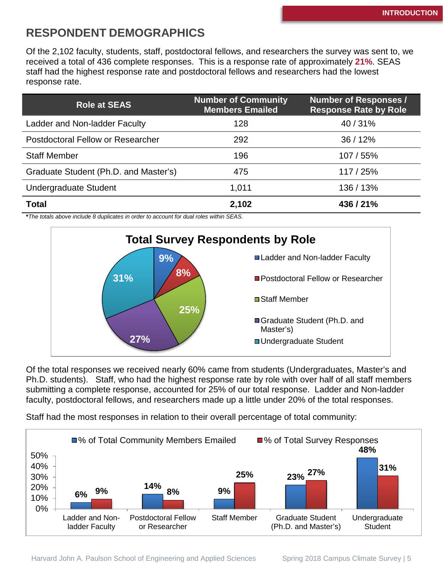## **RESPONDENT DEMOGRAPHICS**

Of the 2,102 faculty, students, staff, postdoctoral fellows, and researchers the survey was sent to, we received a total of 436 complete responses. This is a response rate of approximately **21%**. SEAS staff had the highest response rate and postdoctoral fellows and researchers had the lowest response rate.

| <b>Role at SEAS</b>                   | <b>Number of Community</b><br><b>Members Emailed</b> | <b>Number of Responses /</b><br><b>Response Rate by Role</b> |
|---------------------------------------|------------------------------------------------------|--------------------------------------------------------------|
| Ladder and Non-ladder Faculty         | 128                                                  | 40/31%                                                       |
| Postdoctoral Fellow or Researcher     | 292                                                  | 36/12%                                                       |
| <b>Staff Member</b>                   | 196                                                  | 107 / 55%                                                    |
| Graduate Student (Ph.D. and Master's) | 475                                                  | 117 / 25%                                                    |
| <b>Undergraduate Student</b>          | 1,011                                                | 136 / 13%                                                    |
| <b>Total</b>                          | 2,102                                                | 436/21%                                                      |

**\****The totals above include 8 duplicates in order to account for dual roles within SEAS.*



Of the total responses we received nearly 60% came from students (Undergraduates, Master's and Ph.D. students). Staff, who had the highest response rate by role with over half of all staff members submitting a complete response, accounted for 25% of our total response. Ladder and Non-ladder faculty, postdoctoral fellows, and researchers made up a little under 20% of the total responses.

Staff had the most responses in relation to their overall percentage of total community:

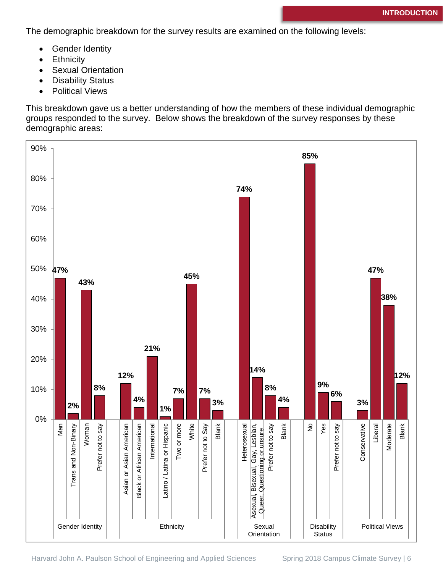The demographic breakdown for the survey results are examined on the following levels:

- Gender Identity
- Ethnicity
- Sexual Orientation
- Disability Status
- Political Views

This breakdown gave us a better understanding of how the members of these individual demographic groups responded to the survey. Below shows the breakdown of the survey responses by these demographic areas:



Harvard John A. Paulson School of Engineering and Applied Sciences Spring 2018 Campus Climate Survey | 6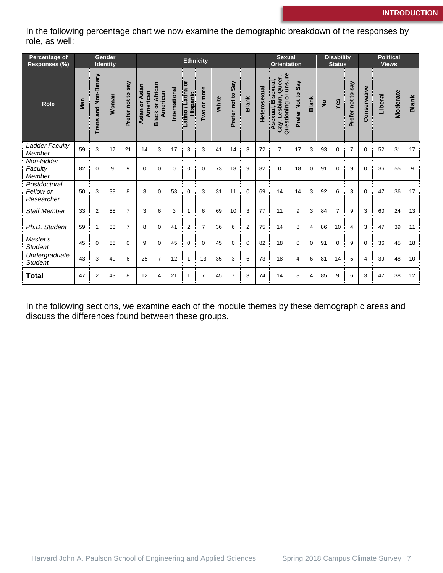In the following percentage chart we now examine the demographic breakdown of the responses by role, as well:

| Percentage of<br>Responses (%)          |     |                                | Gender<br><b>Identity</b> |                      | <b>Ethnicity</b>                    |                                 |               |                                 |                |       |                      | <b>Sexual</b><br><b>Orientation</b> |              | <b>Disability</b><br><b>Status</b>                                          |                      | <b>Political</b><br><b>Views</b> |               |                |                         |                |         |                 |              |
|-----------------------------------------|-----|--------------------------------|---------------------------|----------------------|-------------------------------------|---------------------------------|---------------|---------------------------------|----------------|-------|----------------------|-------------------------------------|--------------|-----------------------------------------------------------------------------|----------------------|----------------------------------|---------------|----------------|-------------------------|----------------|---------|-----------------|--------------|
| <b>Role</b>                             | Man | and Non-Binary<br><b>Trans</b> | Noman                     | Say<br>Prefer not to | Asian<br>can<br>ŏ<br>Ameri<br>Asian | African<br>American<br>Black or | International | ŏ<br>atino / Latina<br>Hispanic | Two or more    | White | Say<br>Prefer not to | <b>Blank</b>                        | Heterosexual | unsure<br>Queer,<br>Bisexual,<br>Gay, Lesbian,<br>Questioning o<br>Asexual, | Say<br>Prefer Not to | <b>Blank</b>                     | $\frac{1}{2}$ | Yes            | say<br>°,<br>Prefer not | Conservative   | Liberal | <b>Moderate</b> | <b>Blank</b> |
| <b>Ladder Faculty</b><br>Member         | 59  | 3                              | 17                        | 21                   | 14                                  | 3                               | 17            | 3                               | 3              | 41    | 14                   | 3                                   | 72           | $\overline{7}$                                                              | 17                   | 3                                | 93            | $\mathbf 0$    | $\overline{7}$          | $\mathbf 0$    | 52      | 31              | 17           |
| Non-ladder<br>Faculty<br>Member         | 82  | $\mathbf 0$                    | 9                         | 9                    | $\mathbf 0$                         | 0                               | 0             | $\mathbf 0$                     | 0              | 73    | 18                   | 9                                   | 82           | $\pmb{0}$                                                                   | 18                   | $\mathbf 0$                      | 91            | 0              | 9                       | $\Omega$       | 36      | 55              | 9            |
| Postdoctoral<br>Fellow or<br>Researcher | 50  | 3                              | 39                        | 8                    | 3                                   | $\mathbf 0$                     | 53            | $\mathbf 0$                     | 3              | 31    | 11                   | $\mathbf 0$                         | 69           | 14                                                                          | 14                   | 3                                | 92            | 6              | 3                       | $\Omega$       | 47      | 36              | 17           |
| <b>Staff Member</b>                     | 33  | $\overline{2}$                 | 58                        | $\overline{7}$       | 3                                   | 6                               | 3             | 1                               | 6              | 69    | 10                   | 3                                   | 77           | 11                                                                          | 9                    | 3                                | 84            | $\overline{7}$ | 9                       | 3              | 60      | 24              | 13           |
| Ph.D. Student                           | 59  | $\mathbf{1}$                   | 33                        | $\overline{7}$       | 8                                   | 0                               | 41            | $\overline{2}$                  | $\overline{7}$ | 36    | 6                    | $\overline{2}$                      | 75           | 14                                                                          | 8                    | $\overline{4}$                   | 86            | 10             | 4                       | 3              | 47      | 39              | 11           |
| Master's<br><b>Student</b>              | 45  | $\mathbf 0$                    | 55                        | $\Omega$             | 9                                   | 0                               | 45            | $\mathbf 0$                     | 0              | 45    | 0                    | $\Omega$                            | 82           | 18                                                                          | 0                    | $\mathbf 0$                      | 91            | $\Omega$       | 9                       | $\Omega$       | 36      | 45              | 18           |
| Undergraduate<br><b>Student</b>         | 43  | 3                              | 49                        | 6                    | 25                                  | $\overline{7}$                  | 12            | 1                               | 13             | 35    | 3                    | 6                                   | 73           | 18                                                                          | 4                    | 6                                | 81            | 14             | 5                       | $\overline{4}$ | 39      | 48              | 10           |
| <b>Total</b>                            | 47  | 2                              | 43                        | 8                    | 12                                  | 4                               | 21            | 1                               | 7              | 45    | $\overline{7}$       | 3                                   | 74           | 14                                                                          | 8                    | 4                                | 85            | 9              | 6                       | 3              | 47      | 38              | 12           |

In the following sections, we examine each of the module themes by these demographic areas and discuss the differences found between these groups.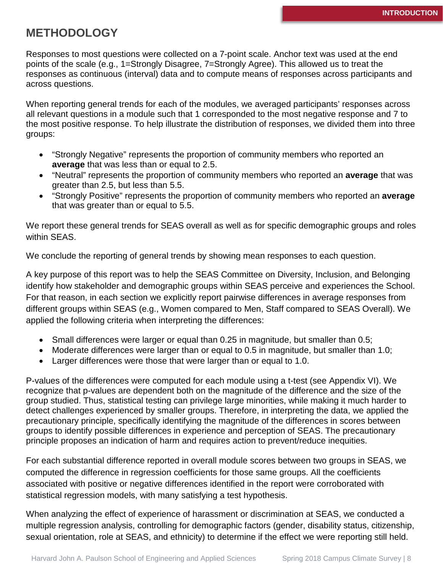## **METHODOLOGY**

Responses to most questions were collected on a 7-point scale. Anchor text was used at the end points of the scale (e.g., 1=Strongly Disagree, 7=Strongly Agree). This allowed us to treat the responses as continuous (interval) data and to compute means of responses across participants and across questions.

When reporting general trends for each of the modules, we averaged participants' responses across all relevant questions in a module such that 1 corresponded to the most negative response and 7 to the most positive response. To help illustrate the distribution of responses, we divided them into three groups:

- "Strongly Negative" represents the proportion of community members who reported an **average** that was less than or equal to 2.5.
- "Neutral" represents the proportion of community members who reported an **average** that was greater than 2.5, but less than 5.5.
- "Strongly Positive" represents the proportion of community members who reported an **average** that was greater than or equal to 5.5.

We report these general trends for SEAS overall as well as for specific demographic groups and roles within SEAS.

We conclude the reporting of general trends by showing mean responses to each question.

A key purpose of this report was to help the SEAS Committee on Diversity, Inclusion, and Belonging identify how stakeholder and demographic groups within SEAS perceive and experiences the School. For that reason, in each section we explicitly report pairwise differences in average responses from different groups within SEAS (e.g., Women compared to Men, Staff compared to SEAS Overall). We applied the following criteria when interpreting the differences:

- Small differences were larger or equal than 0.25 in magnitude, but smaller than 0.5;
- Moderate differences were larger than or equal to 0.5 in magnitude, but smaller than 1.0;
- Larger differences were those that were larger than or equal to 1.0.

P-values of the differences were computed for each module using a t-test (see Appendix VI). We recognize that p-values are dependent both on the magnitude of the difference and the size of the group studied. Thus, statistical testing can privilege large minorities, while making it much harder to detect challenges experienced by smaller groups. Therefore, in interpreting the data, we applied the precautionary principle, specifically identifying the magnitude of the differences in scores between groups to identify possible differences in experience and perception of SEAS. The precautionary principle proposes an indication of harm and requires action to prevent/reduce inequities.

For each substantial difference reported in overall module scores between two groups in SEAS, we computed the difference in regression coefficients for those same groups. All the coefficients associated with positive or negative differences identified in the report were corroborated with statistical regression models, with many satisfying a test hypothesis.

When analyzing the effect of experience of harassment or discrimination at SEAS, we conducted a multiple regression analysis, controlling for demographic factors (gender, disability status, citizenship, sexual orientation, role at SEAS, and ethnicity) to determine if the effect we were reporting still held.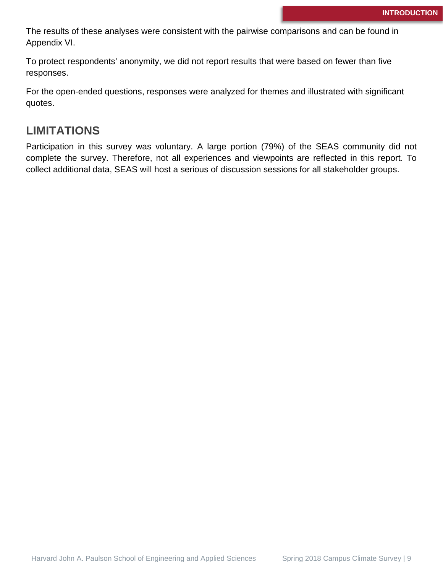The results of these analyses were consistent with the pairwise comparisons and can be found in Appendix VI.

To protect respondents' anonymity, we did not report results that were based on fewer than five responses.

For the open-ended questions, responses were analyzed for themes and illustrated with significant quotes.

## **LIMITATIONS**

Participation in this survey was voluntary. A large portion (79%) of the SEAS community did not complete the survey. Therefore, not all experiences and viewpoints are reflected in this report. To collect additional data, SEAS will host a serious of discussion sessions for all stakeholder groups.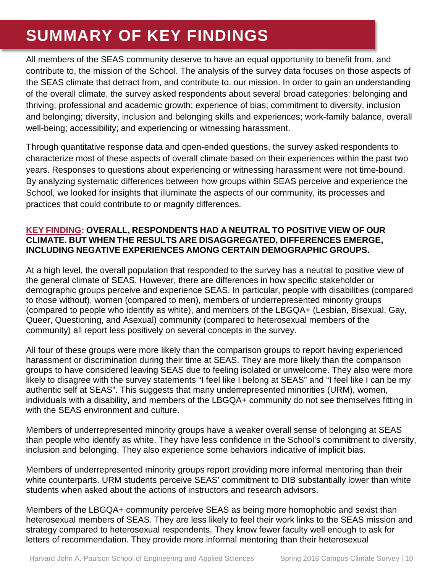# **SUMMARY OF KEY FINDINGS**

All members of the SEAS community deserve to have an equal opportunity to benefit from, and contribute to, the mission of the School. The analysis of the survey data focuses on those aspects of the SEAS climate that detract from, and contribute to, our mission. In order to gain an understanding of the overall climate, the survey asked respondents about several broad categories: belonging and thriving; professional and academic growth; experience of bias; commitment to diversity, inclusion and belonging; diversity, inclusion and belonging skills and experiences; work-family balance, overall well-being; accessibility; and experiencing or witnessing harassment.

Through quantitative response data and open-ended questions, the survey asked respondents to characterize most of these aspects of overall climate based on their experiences within the past two years. Responses to questions about experiencing or witnessing harassment were not time-bound. By analyzing systematic differences between how groups within SEAS perceive and experience the School, we looked for insights that illuminate the aspects of our community, its processes and practices that could contribute to or magnify differences.

#### **KEY FINDING: OVERALL, RESPONDENTS HAD A NEUTRAL TO POSITIVE VIEW OF OUR CLIMATE. BUT WHEN THE RESULTS ARE DISAGGREGATED, DIFFERENCES EMERGE, INCLUDING NEGATIVE EXPERIENCES AMONG CERTAIN DEMOGRAPHIC GROUPS.**

At a high level, the overall population that responded to the survey has a neutral to positive view of the general climate of SEAS. However, there are differences in how specific stakeholder or demographic groups perceive and experience SEAS. In particular, people with disabilities (compared to those without), women (compared to men), members of underrepresented minority groups (compared to people who identify as white), and members of the LBGQA+ (Lesbian, Bisexual, Gay, Queer, Questioning, and Asexual) community (compared to heterosexual members of the community) all report less positively on several concepts in the survey.

All four of these groups were more likely than the comparison groups to report having experienced harassment or discrimination during their time at SEAS. They are more likely than the comparison groups to have considered leaving SEAS due to feeling isolated or unwelcome. They also were more likely to disagree with the survey statements "I feel like I belong at SEAS" and "I feel like I can be my authentic self at SEAS". This suggests that many underrepresented minorities (URM), women, individuals with a disability, and members of the LBGQA+ community do not see themselves fitting in with the **SEAS** environment and culture.

Members of underrepresented minority groups have a weaker overall sense of belonging at SEAS than people who identify as white. They have less confidence in the School's commitment to diversity, inclusion and belonging. They also experience some behaviors indicative of implicit bias.

Members of underrepresented minority groups report providing more informal mentoring than their white counterparts. URM students perceive SEAS' commitment to DIB substantially lower than white students when asked about the actions of instructors and research advisors.

Members of the LBGQA+ community perceive SEAS as being more homophobic and sexist than heterosexual members of SEAS. They are less likely to feel their work links to the SEAS mission and strategy compared to heterosexual respondents. They know fewer faculty well enough to ask for letters of recommendation. They provide more informal mentoring than their heterosexual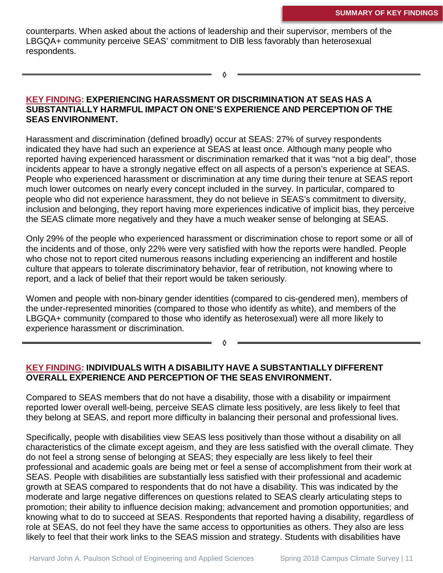counterparts. When asked about the actions of leadership and their supervisor, members of the LBGQA+ community perceive SEAS' commitment to DIB less favorably than heterosexual respondents.

◊

#### **KEY FINDING: EXPERIENCING HARASSMENT OR DISCRIMINATION AT SEAS HAS A SUBSTANTIALLY HARMFUL IMPACT ON ONE'S EXPERIENCE AND PERCEPTION OF THE SEAS ENVIRONMENT.**

Harassment and discrimination (defined broadly) occur at SEAS: 27% of survey respondents indicated they have had such an experience at SEAS at least once. Although many people who reported having experienced harassment or discrimination remarked that it was "not a big deal", those incidents appear to have a strongly negative effect on all aspects of a person's experience at SEAS. People who experienced harassment or discrimination at any time during their tenure at SEAS report much lower outcomes on nearly every concept included in the survey. In particular, compared to people who did not experience harassment, they do not believe in SEAS's commitment to diversity, inclusion and belonging, they report having more experiences indicative of implicit bias, they perceive the SEAS climate more negatively and they have a much weaker sense of belonging at SEAS.

Only 29% of the people who experienced harassment or discrimination chose to report some or all of the incidents and of those, only 22% were very satisfied with how the reports were handled. People who chose not to report cited numerous reasons including experiencing an indifferent and hostile culture that appears to tolerate discriminatory behavior, fear of retribution, not knowing where to report, and a lack of belief that their report would be taken seriously.

Women and people with non-binary gender identities (compared to cis-gendered men), members of the under-represented minorities (compared to those who identify as white), and members of the LBGQA+ community (compared to those who identify as heterosexual) were all more likely to experience harassment or discrimination.

#### ◊

### **KEY FINDING: INDIVIDUALS WITH A DISABILITY HAVE A SUBSTANTIALLY DIFFERENT OVERALL EXPERIENCE AND PERCEPTION OF THE SEAS ENVIRONMENT.**

Compared to SEAS members that do not have a disability, those with a disability or impairment reported lower overall well-being, perceive SEAS climate less positively, are less likely to feel that they belong at SEAS, and report more difficulty in balancing their personal and professional lives.

Specifically, people with disabilities view SEAS less positively than those without a disability on all characteristics of the climate except ageism, and they are less satisfied with the overall climate. They do not feel a strong sense of belonging at SEAS; they especially are less likely to feel their professional and academic goals are being met or feel a sense of accomplishment from their work at SEAS. People with disabilities are substantially less satisfied with their professional and academic growth at SEAS compared to respondents that do not have a disability. This was indicated by the moderate and large negative differences on questions related to SEAS clearly articulating steps to promotion; their ability to influence decision making; advancement and promotion opportunities; and knowing what to do to succeed at SEAS. Respondents that reported having a disability, regardless of role at SEAS, do not feel they have the same access to opportunities as others. They also are less likely to feel that their work links to the SEAS mission and strategy. Students with disabilities have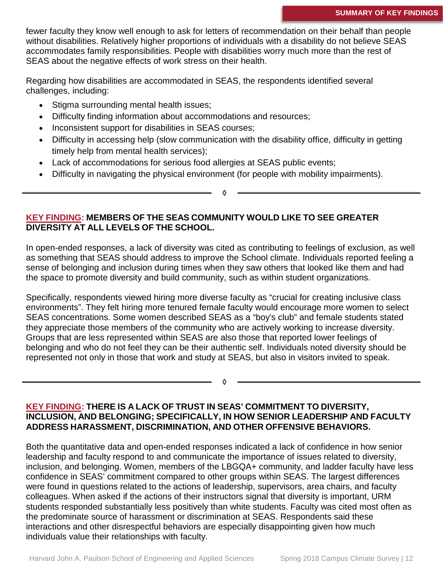fewer faculty they know well enough to ask for letters of recommendation on their behalf than people without disabilities. Relatively higher proportions of individuals with a disability do not believe SEAS accommodates family responsibilities. People with disabilities worry much more than the rest of SEAS about the negative effects of work stress on their health.

Regarding how disabilities are accommodated in SEAS, the respondents identified several challenges, including:

- Stigma surrounding mental health issues;
- Difficulty finding information about accommodations and resources;
- Inconsistent support for disabilities in SEAS courses;
- Difficulty in accessing help (slow communication with the disability office, difficulty in getting timely help from mental health services);

◊

- Lack of accommodations for serious food allergies at SEAS public events;
- Difficulty in navigating the physical environment (for people with mobility impairments).

**KEY FINDING: MEMBERS OF THE SEAS COMMUNITY WOULD LIKE TO SEE GREATER DIVERSITY AT ALL LEVELS OF THE SCHOOL.**

In open-ended responses, a lack of diversity was cited as contributing to feelings of exclusion, as well as something that SEAS should address to improve the School climate. Individuals reported feeling a sense of belonging and inclusion during times when they saw others that looked like them and had the space to promote diversity and build community, such as within student organizations.

Specifically, respondents viewed hiring more diverse faculty as "crucial for creating inclusive class environments". They felt hiring more tenured female faculty would encourage more women to select SEAS concentrations. Some women described SEAS as a "boy's club" and female students stated they appreciate those members of the community who are actively working to increase diversity. Groups that are less represented within SEAS are also those that reported lower feelings of belonging and who do not feel they can be their authentic self. Individuals noted diversity should be represented not only in those that work and study at SEAS, but also in visitors invited to speak.

#### **KEY FINDING: THERE IS A LACK OF TRUST IN SEAS' COMMITMENT TO DIVERSITY, INCLUSION, AND BELONGING; SPECIFICALLY, IN HOW SENIOR LEADERSHIP AND FACULTY ADDRESS HARASSMENT, DISCRIMINATION, AND OTHER OFFENSIVE BEHAVIORS.**

◊

Both the quantitative data and open-ended responses indicated a lack of confidence in how senior leadership and faculty respond to and communicate the importance of issues related to diversity, inclusion, and belonging. Women, members of the LBGQA+ community, and ladder faculty have less confidence in SEAS' commitment compared to other groups within SEAS. The largest differences were found in questions related to the actions of leadership, supervisors, area chairs, and faculty colleagues. When asked if the actions of their instructors signal that diversity is important, URM students responded substantially less positively than white students. Faculty was cited most often as the predominate source of harassment or discrimination at SEAS. Respondents said these interactions and other disrespectful behaviors are especially disappointing given how much individuals value their relationships with faculty.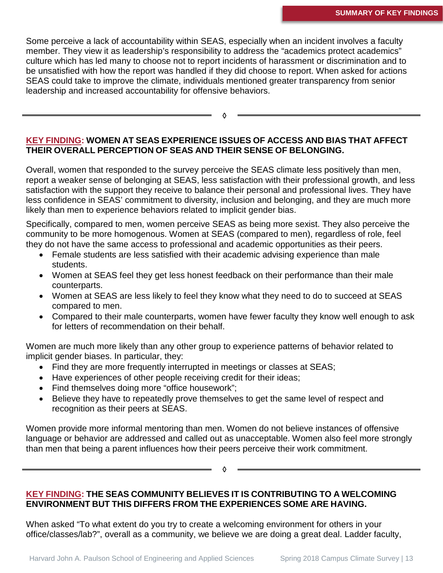Some perceive a lack of accountability within SEAS, especially when an incident involves a faculty member. They view it as leadership's responsibility to address the "academics protect academics" culture which has led many to choose not to report incidents of harassment or discrimination and to be unsatisfied with how the report was handled if they did choose to report. When asked for actions SEAS could take to improve the climate, individuals mentioned greater transparency from senior leadership and increased accountability for offensive behaviors.

**KEY FINDING: WOMEN AT SEAS EXPERIENCE ISSUES OF ACCESS AND BIAS THAT AFFECT THEIR OVERALL PERCEPTION OF SEAS AND THEIR SENSE OF BELONGING.**

◊

Overall, women that responded to the survey perceive the SEAS climate less positively than men, report a weaker sense of belonging at SEAS, less satisfaction with their professional growth, and less satisfaction with the support they receive to balance their personal and professional lives. They have less confidence in SEAS' commitment to diversity, inclusion and belonging, and they are much more likely than men to experience behaviors related to implicit gender bias.

Specifically, compared to men, women perceive SEAS as being more sexist. They also perceive the community to be more homogenous. Women at SEAS (compared to men), regardless of role, feel they do not have the same access to professional and academic opportunities as their peers.

- Female students are less satisfied with their academic advising experience than male students.
- Women at SEAS feel they get less honest feedback on their performance than their male counterparts.
- Women at SEAS are less likely to feel they know what they need to do to succeed at SEAS compared to men.
- Compared to their male counterparts, women have fewer faculty they know well enough to ask for letters of recommendation on their behalf.

Women are much more likely than any other group to experience patterns of behavior related to implicit gender biases. In particular, they:

- Find they are more frequently interrupted in meetings or classes at SEAS;
- Have experiences of other people receiving credit for their ideas;
- Find themselves doing more "office housework";
- Believe they have to repeatedly prove themselves to get the same level of respect and recognition as their peers at SEAS.

Women provide more informal mentoring than men. Women do not believe instances of offensive language or behavior are addressed and called out as unacceptable. Women also feel more strongly than men that being a parent influences how their peers perceive their work commitment.

◊

**KEY FINDING: THE SEAS COMMUNITY BELIEVES IT IS CONTRIBUTING TO A WELCOMING ENVIRONMENT BUT THIS DIFFERS FROM THE EXPERIENCES SOME ARE HAVING.**

When asked "To what extent do you try to create a welcoming environment for others in your office/classes/lab?", overall as a community, we believe we are doing a great deal. Ladder faculty,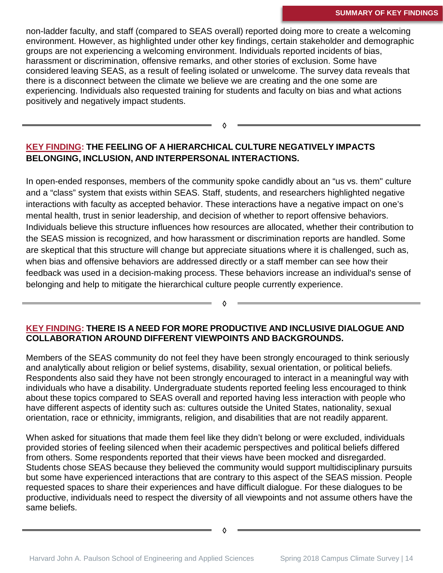non-ladder faculty, and staff (compared to SEAS overall) reported doing more to create a welcoming environment. However, as highlighted under other key findings, certain stakeholder and demographic groups are not experiencing a welcoming environment. Individuals reported incidents of bias, harassment or discrimination, offensive remarks, and other stories of exclusion. Some have considered leaving SEAS, as a result of feeling isolated or unwelcome. The survey data reveals that there is a disconnect between the climate we believe we are creating and the one some are experiencing. Individuals also requested training for students and faculty on bias and what actions positively and negatively impact students.

◊

### **KEY FINDING: THE FEELING OF A HIERARCHICAL CULTURE NEGATIVELY IMPACTS BELONGING, INCLUSION, AND INTERPERSONAL INTERACTIONS.**

In open-ended responses, members of the community spoke candidly about an "us vs. them" culture and a "class" system that exists within SEAS. Staff, students, and researchers highlighted negative interactions with faculty as accepted behavior. These interactions have a negative impact on one's mental health, trust in senior leadership, and decision of whether to report offensive behaviors. Individuals believe this structure influences how resources are allocated, whether their contribution to the SEAS mission is recognized, and how harassment or discrimination reports are handled. Some are skeptical that this structure will change but appreciate situations where it is challenged, such as, when bias and offensive behaviors are addressed directly or a staff member can see how their feedback was used in a decision-making process. These behaviors increase an individual's sense of belonging and help to mitigate the hierarchical culture people currently experience.

#### **KEY FINDING: THERE IS A NEED FOR MORE PRODUCTIVE AND INCLUSIVE DIALOGUE AND COLLABORATION AROUND DIFFERENT VIEWPOINTS AND BACKGROUNDS.**

◊

Members of the SEAS community do not feel they have been strongly encouraged to think seriously and analytically about religion or belief systems, disability, sexual orientation, or political beliefs. Respondents also said they have not been strongly encouraged to interact in a meaningful way with individuals who have a disability. Undergraduate students reported feeling less encouraged to think about these topics compared to SEAS overall and reported having less interaction with people who have different aspects of identity such as: cultures outside the United States, nationality, sexual orientation, race or ethnicity, immigrants, religion, and disabilities that are not readily apparent.

When asked for situations that made them feel like they didn't belong or were excluded, individuals provided stories of feeling silenced when their academic perspectives and political beliefs differed from others. Some respondents reported that their views have been mocked and disregarded. Students chose SEAS because they believed the community would support multidisciplinary pursuits but some have experienced interactions that are contrary to this aspect of the SEAS mission. People requested spaces to share their experiences and have difficult dialogue. For these dialogues to be productive, individuals need to respect the diversity of all viewpoints and not assume others have the same beliefs.